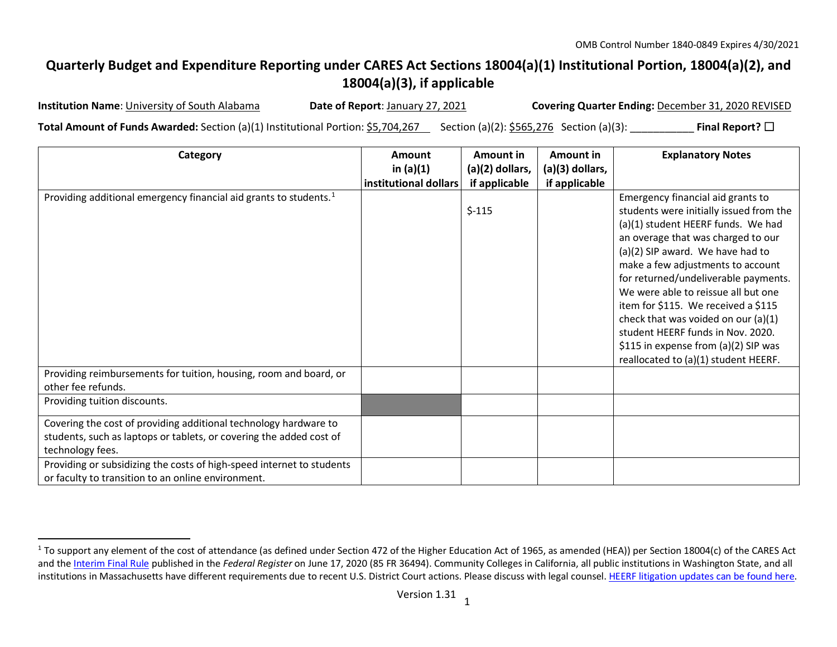## **Quarterly Budget and Expenditure Reporting under CARES Act Sections 18004(a)(1) Institutional Portion, 18004(a)(2), and 18004(a)(3), if applicable**

 $\overline{a}$ 

<span id="page-0-0"></span>

**Institution Name**: University of South Alabama **Date of Report**: January 27, 2021 **Covering Quarter Ending:** December 31, 2020 REVISED

**Total Amount of Funds Awarded:** Section (a)(1) Institutional Portion: \$5,704,267 Section (a)(2): \$565,276 Section (a)(3): **Final Report?** □

| Category                                                                                                                                                                                                                             | Amount                | Amount in         | Amount in       | <b>Explanatory Notes</b>                                                                                                                                                                                                                                                                                                                                                                                                                                                      |
|--------------------------------------------------------------------------------------------------------------------------------------------------------------------------------------------------------------------------------------|-----------------------|-------------------|-----------------|-------------------------------------------------------------------------------------------------------------------------------------------------------------------------------------------------------------------------------------------------------------------------------------------------------------------------------------------------------------------------------------------------------------------------------------------------------------------------------|
|                                                                                                                                                                                                                                      | in $(a)(1)$           | $(a)(2)$ dollars, | (a)(3) dollars, |                                                                                                                                                                                                                                                                                                                                                                                                                                                                               |
|                                                                                                                                                                                                                                      | institutional dollars | if applicable     | if applicable   |                                                                                                                                                                                                                                                                                                                                                                                                                                                                               |
| Providing additional emergency financial aid grants to students. <sup>1</sup>                                                                                                                                                        |                       | $$-115$           |                 | Emergency financial aid grants to<br>students were initially issued from the<br>(a)(1) student HEERF funds. We had<br>an overage that was charged to our<br>(a)(2) SIP award. We have had to<br>make a few adjustments to account<br>for returned/undeliverable payments.<br>We were able to reissue all but one<br>item for \$115. We received a \$115<br>check that was voided on our $(a)(1)$<br>student HEERF funds in Nov. 2020.<br>\$115 in expense from (a)(2) SIP was |
| Providing reimbursements for tuition, housing, room and board, or<br>other fee refunds.                                                                                                                                              |                       |                   |                 | reallocated to (a)(1) student HEERF.                                                                                                                                                                                                                                                                                                                                                                                                                                          |
| Providing tuition discounts.                                                                                                                                                                                                         |                       |                   |                 |                                                                                                                                                                                                                                                                                                                                                                                                                                                                               |
| Covering the cost of providing additional technology hardware to<br>students, such as laptops or tablets, or covering the added cost of<br>technology fees.<br>Providing or subsidizing the costs of high-speed internet to students |                       |                   |                 |                                                                                                                                                                                                                                                                                                                                                                                                                                                                               |
| or faculty to transition to an online environment.                                                                                                                                                                                   |                       |                   |                 |                                                                                                                                                                                                                                                                                                                                                                                                                                                                               |

<sup>&</sup>lt;sup>1</sup> To support any element of the cost of attendance (as defined under Section 472 of the Higher Education Act of 1965, as amended (HEA)) per Section 18004(c) of the CARES Act and th[e Interim Final Rule](https://www.federalregister.gov/documents/2020/06/17/2020-12965/eligibility-of-students-at-institutions-of-higher-education-for-funds-under-the-coronavirus-aid) published in the *Federal Register* on June 17, 2020 (85 FR 36494). Community Colleges in California, all public institutions in Washington State, and all institutions in Massachusetts have different requirements due to recent U.S. District Court actions. Please discuss with legal counsel. [HEERF litigation updates can be found here.](https://www2.ed.gov/about/offices/list/ope/heerfupdates.html)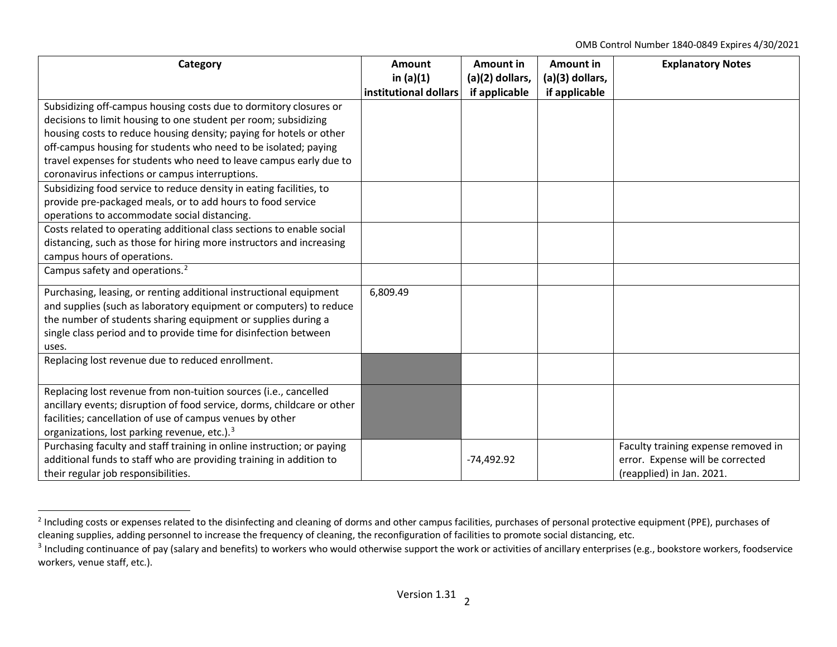<span id="page-1-1"></span><span id="page-1-0"></span>OMB Control Number 1840-0849 Expires 4/30/2021

| Category                                                                | Amount                               | Amount in                        | Amount in                        | <b>Explanatory Notes</b>            |
|-------------------------------------------------------------------------|--------------------------------------|----------------------------------|----------------------------------|-------------------------------------|
|                                                                         | in $(a)(1)$<br>institutional dollars | (a)(2) dollars,<br>if applicable | (a)(3) dollars,<br>if applicable |                                     |
| Subsidizing off-campus housing costs due to dormitory closures or       |                                      |                                  |                                  |                                     |
| decisions to limit housing to one student per room; subsidizing         |                                      |                                  |                                  |                                     |
| housing costs to reduce housing density; paying for hotels or other     |                                      |                                  |                                  |                                     |
| off-campus housing for students who need to be isolated; paying         |                                      |                                  |                                  |                                     |
| travel expenses for students who need to leave campus early due to      |                                      |                                  |                                  |                                     |
| coronavirus infections or campus interruptions.                         |                                      |                                  |                                  |                                     |
| Subsidizing food service to reduce density in eating facilities, to     |                                      |                                  |                                  |                                     |
| provide pre-packaged meals, or to add hours to food service             |                                      |                                  |                                  |                                     |
| operations to accommodate social distancing.                            |                                      |                                  |                                  |                                     |
| Costs related to operating additional class sections to enable social   |                                      |                                  |                                  |                                     |
| distancing, such as those for hiring more instructors and increasing    |                                      |                                  |                                  |                                     |
| campus hours of operations.                                             |                                      |                                  |                                  |                                     |
| Campus safety and operations. <sup>2</sup>                              |                                      |                                  |                                  |                                     |
| Purchasing, leasing, or renting additional instructional equipment      | 6,809.49                             |                                  |                                  |                                     |
| and supplies (such as laboratory equipment or computers) to reduce      |                                      |                                  |                                  |                                     |
| the number of students sharing equipment or supplies during a           |                                      |                                  |                                  |                                     |
| single class period and to provide time for disinfection between        |                                      |                                  |                                  |                                     |
| uses.                                                                   |                                      |                                  |                                  |                                     |
| Replacing lost revenue due to reduced enrollment.                       |                                      |                                  |                                  |                                     |
|                                                                         |                                      |                                  |                                  |                                     |
| Replacing lost revenue from non-tuition sources (i.e., cancelled        |                                      |                                  |                                  |                                     |
| ancillary events; disruption of food service, dorms, childcare or other |                                      |                                  |                                  |                                     |
| facilities; cancellation of use of campus venues by other               |                                      |                                  |                                  |                                     |
| organizations, lost parking revenue, etc.). <sup>3</sup>                |                                      |                                  |                                  |                                     |
| Purchasing faculty and staff training in online instruction; or paying  |                                      |                                  |                                  | Faculty training expense removed in |
| additional funds to staff who are providing training in addition to     |                                      | $-74,492.92$                     |                                  | error. Expense will be corrected    |
| their regular job responsibilities.                                     |                                      |                                  |                                  | (reapplied) in Jan. 2021.           |

<sup>&</sup>lt;sup>2</sup> Including costs or expenses related to the disinfecting and cleaning of dorms and other campus facilities, purchases of personal protective equipment (PPE), purchases of cleaning supplies, adding personnel to increase the frequency of cleaning, the reconfiguration of facilities to promote social distancing, etc.

<sup>&</sup>lt;sup>3</sup> Including continuance of pay (salary and benefits) to workers who would otherwise support the work or activities of ancillary enterprises (e.g., bookstore workers, foodservice workers, venue staff, etc.).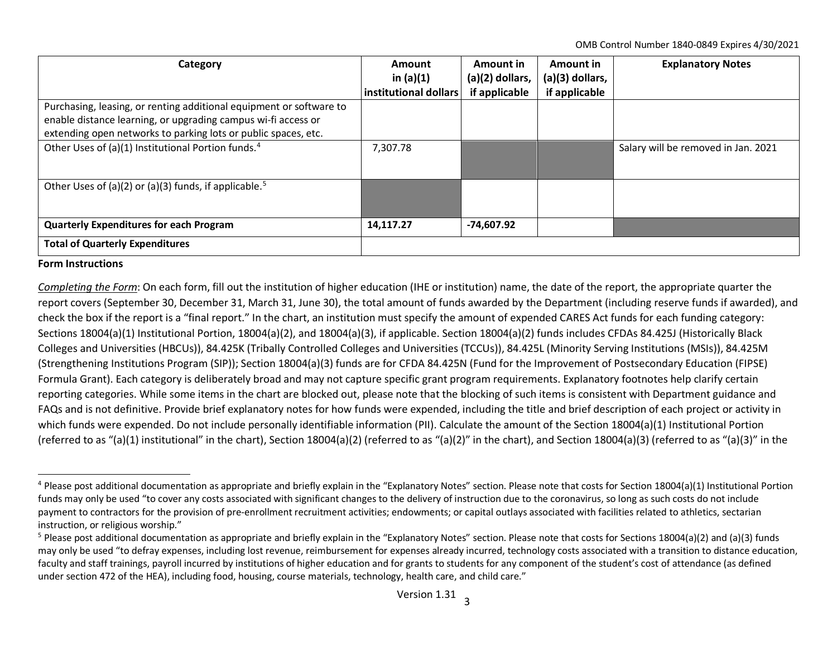<span id="page-2-1"></span><span id="page-2-0"></span>OMB Control Number 1840-0849 Expires 4/30/2021

| Category                                                            | Amount<br>in $(a)(1)$<br>institutional dollars | Amount in<br>$(a)(2)$ dollars, | Amount in<br>(a)(3) dollars, | <b>Explanatory Notes</b>            |
|---------------------------------------------------------------------|------------------------------------------------|--------------------------------|------------------------------|-------------------------------------|
|                                                                     |                                                | if applicable                  | if applicable                |                                     |
| Purchasing, leasing, or renting additional equipment or software to |                                                |                                |                              |                                     |
| enable distance learning, or upgrading campus wi-fi access or       |                                                |                                |                              |                                     |
| extending open networks to parking lots or public spaces, etc.      |                                                |                                |                              |                                     |
| Other Uses of (a)(1) Institutional Portion funds. <sup>4</sup>      | 7,307.78                                       |                                |                              | Salary will be removed in Jan. 2021 |
| Other Uses of (a)(2) or (a)(3) funds, if applicable. <sup>5</sup>   |                                                |                                |                              |                                     |
| <b>Quarterly Expenditures for each Program</b>                      | 14,117.27                                      | $-74,607.92$                   |                              |                                     |
| <b>Total of Quarterly Expenditures</b>                              |                                                |                                |                              |                                     |

## **Form Instructions**

*Completing the Form*: On each form, fill out the institution of higher education (IHE or institution) name, the date of the report, the appropriate quarter the report covers (September 30, December 31, March 31, June 30), the total amount of funds awarded by the Department (including reserve funds if awarded), and check the box if the report is a "final report." In the chart, an institution must specify the amount of expended CARES Act funds for each funding category: Sections 18004(a)(1) Institutional Portion, 18004(a)(2), and 18004(a)(3), if applicable. Section 18004(a)(2) funds includes CFDAs 84.425J (Historically Black Colleges and Universities (HBCUs)), 84.425K (Tribally Controlled Colleges and Universities (TCCUs)), 84.425L (Minority Serving Institutions (MSIs)), 84.425M (Strengthening Institutions Program (SIP)); Section 18004(a)(3) funds are for CFDA 84.425N (Fund for the Improvement of Postsecondary Education (FIPSE) Formula Grant). Each category is deliberately broad and may not capture specific grant program requirements. Explanatory footnotes help clarify certain reporting categories. While some items in the chart are blocked out, please note that the blocking of such items is consistent with Department guidance and FAQs and is not definitive. Provide brief explanatory notes for how funds were expended, including the title and brief description of each project or activity in which funds were expended. Do not include personally identifiable information (PII). Calculate the amount of the Section 18004(a)(1) Institutional Portion (referred to as "(a)(1) institutional" in the chart), Section 18004(a)(2) (referred to as "(a)(2)" in the chart), and Section 18004(a)(3) (referred to as "(a)(3)" in the

<sup>&</sup>lt;sup>4</sup> Please post additional documentation as appropriate and briefly explain in the "Explanatory Notes" section. Please note that costs for Section 18004(a)(1) Institutional Portion funds may only be used "to cover any costs associated with significant changes to the delivery of instruction due to the coronavirus, so long as such costs do not include payment to contractors for the provision of pre-enrollment recruitment activities; endowments; or capital outlays associated with facilities related to athletics, sectarian instruction, or religious worship."

<sup>&</sup>lt;sup>5</sup> Please post additional documentation as appropriate and briefly explain in the "Explanatory Notes" section. Please note that costs for Sections 18004(a)(2) and (a)(3) funds may only be used "to defray expenses, including lost revenue, reimbursement for expenses already incurred, technology costs associated with a transition to distance education, faculty and staff trainings, payroll incurred by institutions of higher education and for grants to students for any component of the student's cost of attendance (as defined under section 472 of the HEA), including food, housing, course materials, technology, health care, and child care."